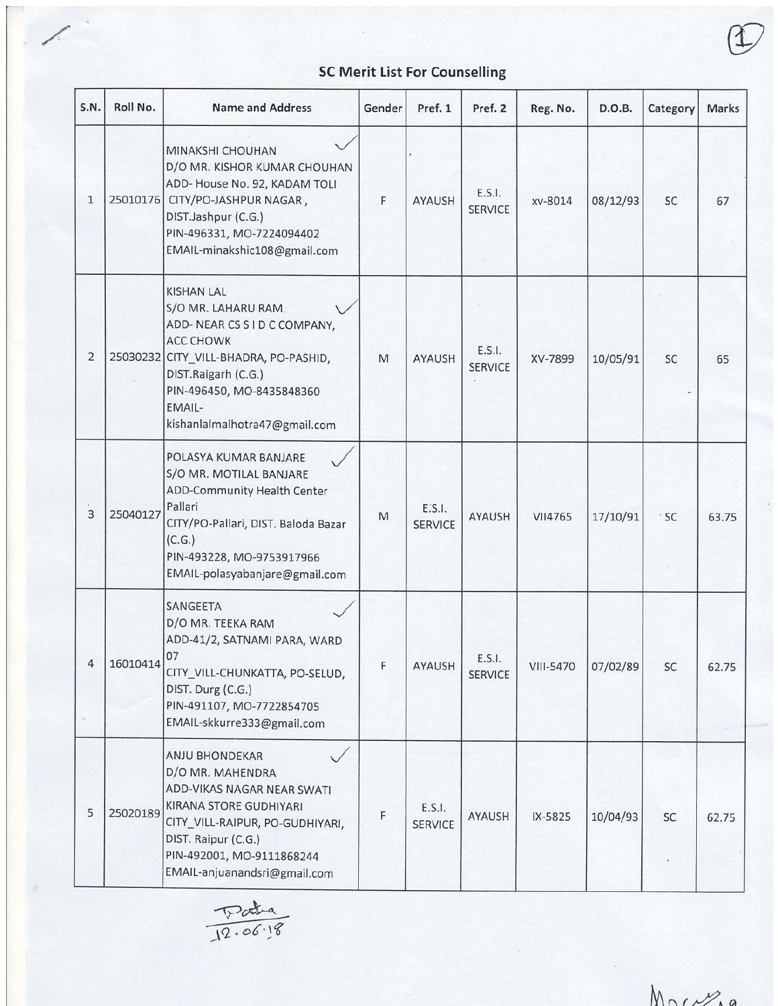## SC Merit List For Counselling

∕

| S.N.       | Roll No. | <b>Name and Address</b>                                                                                                                                                                                                              | Gender                                                                                                     | Pref. 1                  | Pref. 2                  | Reg. No.  | D.O.B.   | Category   | Marks |
|------------|----------|--------------------------------------------------------------------------------------------------------------------------------------------------------------------------------------------------------------------------------------|------------------------------------------------------------------------------------------------------------|--------------------------|--------------------------|-----------|----------|------------|-------|
| 1          | 25010176 | MINAKSHI CHOUHAN<br>D/O MR. KISHOR KUMAR CHOUHAN<br>ADD- House No. 92, KADAM TOLI<br>CITY/PO-JASHPUR NAGAR,<br>DIST.Jashpur (C.G.)<br>PIN-496331, MO-7224094402<br>EMAIL-minakshic108@gmail.com                                      | F                                                                                                          | AYAUSH                   | E.S.I.<br><b>SERVICE</b> | xv-8014   | 08/12/93 | SC         | 67    |
| 2          |          | <b>KISHAN LAL</b><br>S/O MR. LAHARU RAM.<br>ADD-NEAR CS S I D C COMPANY,<br><b>ACC CHOWK</b><br>25030232 CITY_VILL-BHADRA, PO-PASHID,<br>DIST.Raigarh (C.G.)<br>PIN-496450, MO-8435848360<br>EMAIL-<br>kishanlalmalhotra47@gmail.com | $\mathsf{M}% _{T}=\mathsf{M}_{T}\!\left( a,b\right) ,\ \mathsf{M}_{T}=\mathsf{M}_{T}\!\left( a,b\right) ,$ | AYAUSH                   | E.S.I.<br><b>SERVICE</b> | XV-7899   | 10/05/91 | <b>SC</b>  | 65    |
| 3          | 25040127 | POLASYA KUMAR BANJARE<br>S/O MR. MOTILAL BANJARE<br>ADD-Community Health Center<br>Pallari<br>CITY/PO-Pallari, DIST. Baloda Bazar<br>(C.G.)<br>PIN-493228, MO-9753917966<br>EMAIL-polasyabanjare@gmail.com                           | M                                                                                                          | E.S.I.<br><b>SERVICE</b> | <b>AYAUSH</b>            | VII4765   | 17/10/91 | $\cdot$ SC | 63.75 |
| $\sqrt{ }$ | 16010414 | SANGEETA<br>D/O MR. TEEKA RAM<br>ADD-41/2, SATNAMI PARA, WARD<br>07<br>CITY_VILL-CHUNKATTA, PO-SELUD,<br>DIST. Durg (C.G.)<br>PIN-491107, MO-7722854705<br>EMAIL-skkurre333@gmail.com                                                | F.                                                                                                         | AYAUSH                   | E.S.I.<br><b>SERVICE</b> | VIII-5470 | 07/02/89 | SC.        | 62.75 |
| 5          | 25020189 | ANJU BHONDEKAR<br>D/O MR. MAHENDRA<br>ADD-VIKAS NAGAR NEAR SWATI<br>KIRANA STORE GUDHIYARI<br>CITY_VILL-RAIPUR, PO-GUDHIYARI,<br>DIST. Raipur (C.G.)<br>PIN-492001, MO-9111868244<br>EMAIL-anjuanandsri@gmail.com                    | F                                                                                                          | E.S.I.<br><b>SERVICE</b> | AYAUSH                   | IX-5825   | 10/04/93 | <b>SC</b>  | 62.75 |

Data<br>12.06.18

 $MnV_{A}a$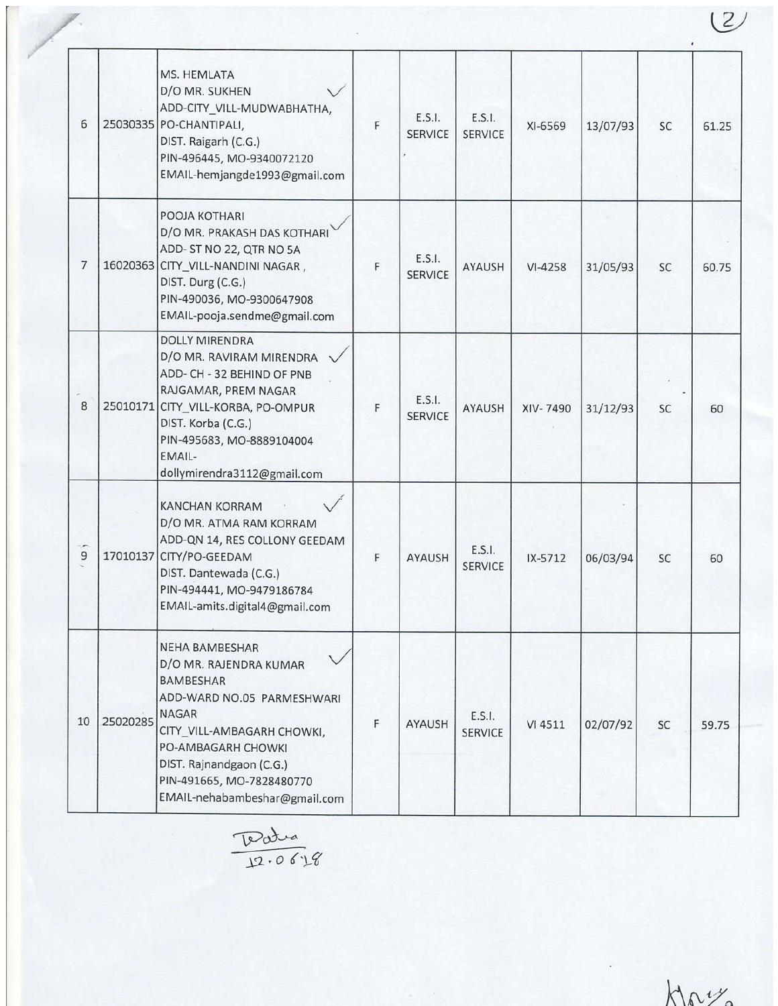| 6      |          | MS. HEMLATA<br>D/O MR. SUKHEN<br>ADD-CITY_VILL-MUDWABHATHA,<br>25030335 PO-CHANTIPALI,<br>DIST. Raigarh (C.G.)<br>PIN-496445, MO-9340072120<br>EMAIL-hemjangde1993@gmail.com                                                                                    | F | E.S.I.<br><b>SERVICE</b> | E.S.I.<br><b>SERVICE</b> | XI-6569   | 13/07/93 | <b>SC</b> | 61.25 |
|--------|----------|-----------------------------------------------------------------------------------------------------------------------------------------------------------------------------------------------------------------------------------------------------------------|---|--------------------------|--------------------------|-----------|----------|-----------|-------|
| 7      |          | POOJA KOTHARI<br>D/O MR. PRAKASH DAS KOTHARI<br>ADD-ST NO 22, QTR NO 5A<br>16020363 CITY_VILL-NANDINI NAGAR,<br>DIST. Durg (C.G.)<br>PIN-490036, MO-9300647908<br>EMAIL-pooja.sendme@gmail.com                                                                  | F | E.S.I.<br><b>SERVICE</b> | AYAUSH                   | $VI-4258$ | 31/05/93 | SC        | 60.75 |
| 8      |          | <b>DOLLY MIRENDRA</b><br>D/O MR. RAVIRAM MIRENDRA<br>ADD- CH - 32 BEHIND OF PNB<br>RAJGAMAR, PREM NAGAR<br>25010171 CITY_VILL-KORBA, PO-OMPUR<br>DIST. Korba (C.G.)<br>PIN-495683, MO-8889104004<br>EMAIL-<br>dollymirendra3112@gmail.com                       | F | E.S.I.<br><b>SERVICE</b> | AYAUSH                   | XIV-7490  | 31/12/93 | SC        | 60    |
| ್<br>9 |          | <b>KANCHAN KORRAM</b><br>D/O MR. ATMA RAM KORRAM<br>ADD-QN 14, RES COLLONY GEEDAM<br>17010137 CITY/PO-GEEDAM<br>DIST. Dantewada (C.G.)<br>PIN-494441, MO-9479186784<br>EMAIL-amits.digital4@gmail.com                                                           | F | <b>AYAUSH</b>            | E.S.I.<br><b>SERVICE</b> | IX-5712   | 06/03/94 | <b>SC</b> | 60    |
| 10     | 25020285 | <b>NEHA BAMBESHAR</b><br>D/O MR. RAJENDRA KUMAR<br><b>BAMBESHAR</b><br>ADD-WARD NO.05 PARMESHWARI<br><b>NAGAR</b><br>CITY_VILL-AMBAGARH CHOWKI,<br>PO-AMBAGARH CHOWKI<br>DIST. Rajnandgaon (C.G.)<br>PIN-491665, MO-7828480770<br>EMAIL-nehabambeshar@gmail.com | F | AYAUSH                   | E.S.I.<br><b>SERVICE</b> | VI 4511   | 02/07/92 | SC        | 59.75 |

Patra  $12.06'18$ 

 $k\sqrt{a^2}$ 

 $(2)$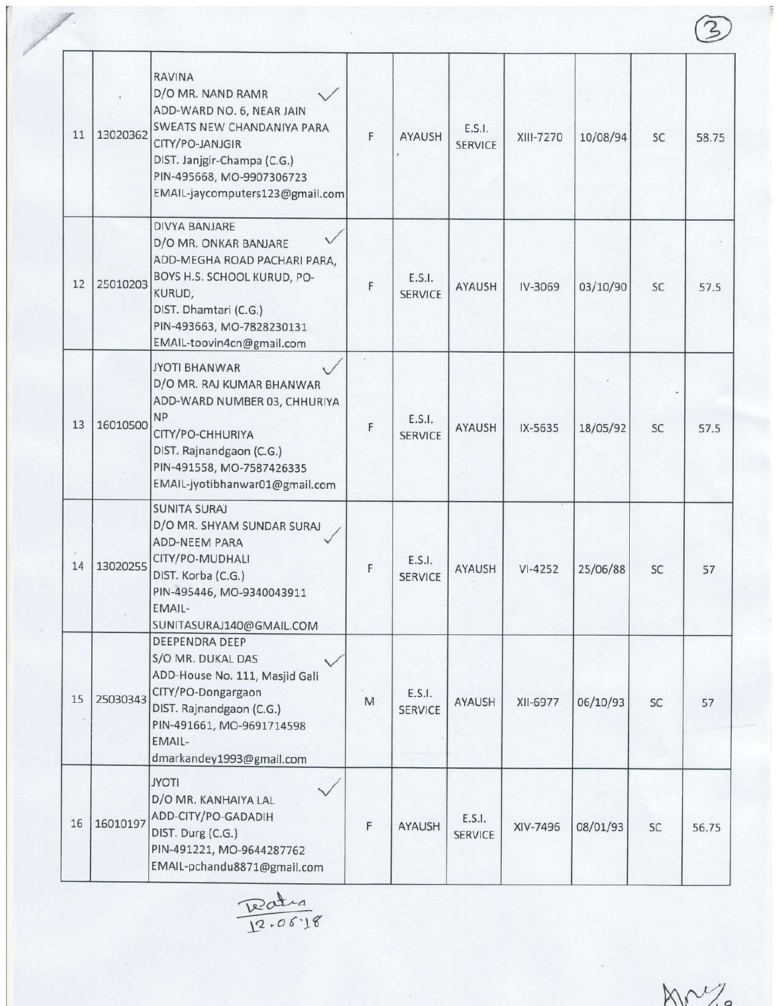| 11 | 13020362 | <b>RAVINA</b><br>D/O MR. NAND RAMR<br>ADD-WARD NO. 6, NEAR JAIN<br>SWEATS NEW CHANDANIYA PARA<br>CITY/PO-JANJGIR<br>DIST. Janjgir-Champa (C.G.)<br>PIN-495668, MO-9907306723<br>EMAIL-jaycomputers123@gmail.com | F | <b>AYAUSH</b>            | E.S.I.<br><b>SERVICE</b> | XIII-7270 | 10/08/94 | SC        | 58.75 |
|----|----------|-----------------------------------------------------------------------------------------------------------------------------------------------------------------------------------------------------------------|---|--------------------------|--------------------------|-----------|----------|-----------|-------|
| 12 | 25010203 | <b>DIVYA BANJARE</b><br>D/O MR. ONKAR BANJARE<br>ADD-MEGHA ROAD PACHARI PARA,<br>BOYS H.S. SCHOOL KURUD, PO-<br>KURUD,<br>DIST. Dhamtari (C.G.)<br>PIN-493663, MO-7828230131<br>EMAIL-toovin4cn@gmail.com       | F | E.S.I.<br><b>SERVICE</b> | <b>AYAUSH</b>            | IV-3069   | 03/10/90 | SC        | 57.5  |
| 13 | 16010500 | <b>JYOTI BHANWAR</b><br>D/O MR. RAJ KUMAR BHANWAR<br>ADD-WARD NUMBER 03, CHHURIYA<br><b>NP</b><br>CITY/PO-CHHURIYA<br>DIST. Rajnandgaon (C.G.)<br>PIN-491558, MO-7587426335<br>EMAIL-jyotibhanwar01@gmail.com   | F | E.S.I.<br><b>SERVICE</b> | <b>AYAUSH</b>            | IX-5635   | 18/05/92 | SC        | 57.5  |
| 14 | 13020255 | <b>SUNITA SURAJ</b><br>D/O MR. SHYAM SUNDAR SURAJ<br><b>ADD-NEEM PARA</b><br>CITY/PO-MUDHALI<br>DIST. Korba (C.G.)<br>PIN-495446, MO-9340043911<br>EMAIL-<br>SUNITASURAJ140@GMAIL.COM                           | F | E.S.I.<br><b>SERVICE</b> | AYAUSH                   | $VI-4252$ | 25/06/88 | <b>SC</b> | 57    |
| 15 | 25030343 | DEEPENDRA DEEP<br>S/O MR. DUKAL DAS<br>ADD-House No. 111, Masjid Gali<br>CITY/PO-Dongargaon<br>DIST. Rajnandgaon (C.G.)<br>PIN-491661, MO-9691714598<br>EMAIL-<br>dmarkandey1993@gmail.com                      | M | E.S.I.<br><b>SERVICE</b> | AYAUSH                   | XII-6977  | 06/10/93 | SC        | 57    |
| 16 | 16010197 | <b>JYOTI</b><br>D/O MR. KANHAIYA LAL<br>ADD-CITY/PO-GADADIH<br>DIST. Durg (C.G.)<br>PIN-491221, MO-9644287762<br>EMAIL-pchandu8871@gmail.com                                                                    | F | AYAUSH                   | E.S.I.<br><b>SERVICE</b> | XIV-7496  | 08/01/93 | SC        | 56.75 |

Teatra<br>12.06.18

 $M^{1/2}$ 

 $\circledS$ 

Ī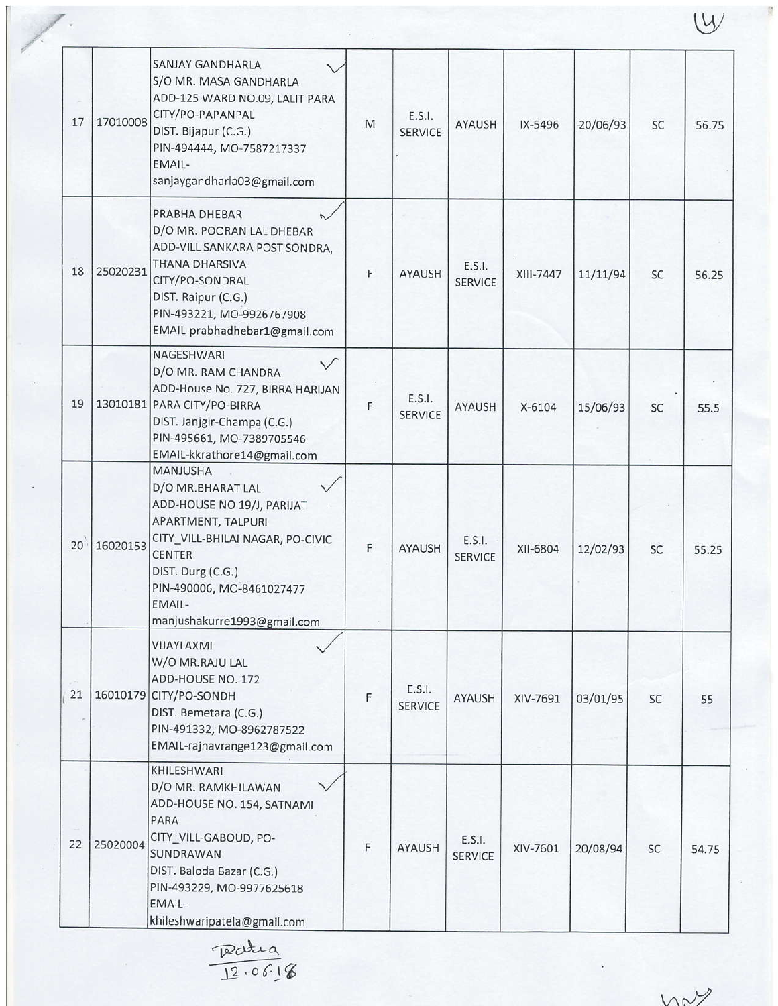| 17 | 17010008 | <b>SANJAY GANDHARLA</b><br>S/O MR. MASA GANDHARLA<br>ADD-125 WARD NO.09, LALIT PARA<br>CITY/PO-PAPANPAL<br>DIST. Bijapur (C.G.)<br>PIN-494444, MO-7587217337<br>EMAIL-<br>sanjaygandharla03@gmail.com                                    | M | E.S.I.<br><b>SERVICE</b> | <b>AYAUSH</b>            | IX-5496   | $-20/06/93$ | <b>SC</b> | 56.75 |
|----|----------|------------------------------------------------------------------------------------------------------------------------------------------------------------------------------------------------------------------------------------------|---|--------------------------|--------------------------|-----------|-------------|-----------|-------|
| 18 | 25020231 | PRABHA DHEBAR<br>D/O MR. POORAN LAL DHEBAR<br>ADD-VILL SANKARA POST SONDRA,<br><b>THANA DHARSIVA</b><br>CITY/PO-SONDRAL<br>DIST. Raipur (C.G.)<br>PIN-493221, MO-9926767908<br>EMAIL-prabhadhebar1@gmail.com                             | F | <b>AYAUSH</b>            | E.S.I.<br><b>SERVICE</b> | XIII-7447 | 11/11/94    | <b>SC</b> | 56.25 |
| 19 |          | NAGESHWARI<br>D/O MR. RAM CHANDRA<br>ADD-House No. 727, BIRRA HARIJAN<br>13010181 PARA CITY/PO-BIRRA<br>DIST. Janjgir-Champa (C.G.)<br>PIN-495661, MO-7389705546<br>EMAIL-kkrathore14@gmail.com                                          | F | E.S.I.<br><b>SERVICE</b> | <b>AYAUSH</b>            | $X-6104$  | 15/06/93    | <b>SC</b> | 55.5  |
| 20 | 16020153 | <b>MANJUSHA</b><br>D/O MR.BHARAT LAL<br>ADD-HOUSE NO 19/J, PARIJAT<br>APARTMENT, TALPURI<br>CITY_VILL-BHILAI NAGAR, PO-CIVIC<br><b>CENTER</b><br>DIST. Durg (C.G.)<br>PIN-490006, MO-8461027477<br>EMAIL-<br>manjushakurre1993@gmail.com | F | <b>AYAUSH</b>            | E.S.I.<br><b>SERVICE</b> | XII-6804  | 12/02/93    | <b>SC</b> | 55.25 |
| 21 |          | VIJAYLAXMI<br>W/O MR.RAJU LAL<br>ADD-HOUSE NO. 172<br>16010179 CITY/PO-SONDH<br>DIST. Bemetara (C.G.)<br>PIN-491332, MO-8962787522<br>EMAIL-rajnavrange123@gmail.com                                                                     | F | E.S.I.<br><b>SERVICE</b> | AYAUSH                   | XIV-7691  | 03/01/95    | SC        | 55    |
| 22 | 25020004 | KHILESHWARI<br>D/O MR. RAMKHILAWAN<br>ADD-HOUSE NO. 154, SATNAMI<br>PARA<br>CITY_VILL-GABOUD, PO-<br>SUNDRAWAN<br>DIST. Baloda Bazar (C.G.)<br>PIN-493229, MO-9977625618<br>EMAIL-<br>khileshwaripatela@gmail.com                        | F | AYAUSH                   | E.S.I.<br><b>SERVICE</b> | XIV-7601  | 20/08/94    | SC        | 54.75 |

Ratia

V

WNY

 $\mathbb{W}$ 

ÿ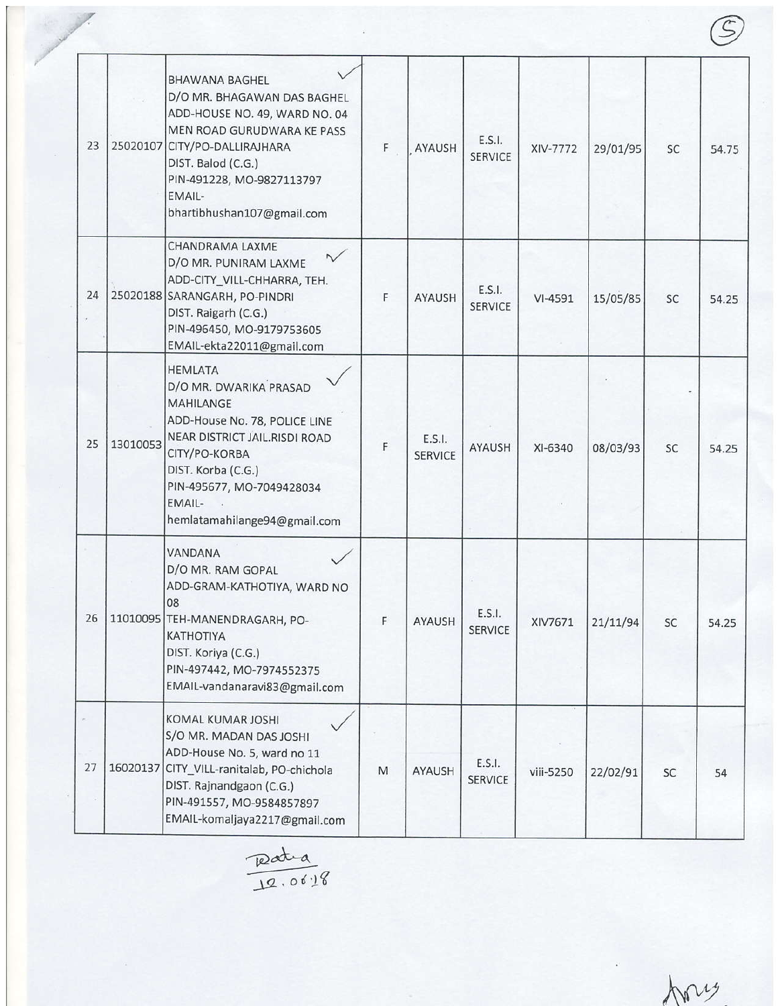| 23 |          | <b>BHAWANA BAGHEL</b><br>D/O MR. BHAGAWAN DAS BAGHEL<br>ADD-HOUSE NO. 49, WARD NO. 04<br>MEN ROAD GURUDWARA KE PASS<br>25020107 CITY/PO-DALLIRAJHARA<br>DIST. Balod (C.G.)<br>PIN-491228, MO-9827113797<br>EMAIL-<br>bhartibhushan107@gmail.com | F | AYAUSH                   | E.S.I.<br>SERVICE        | XIV-7772  | 29/01/95 | SC        | 54.75 |
|----|----------|-------------------------------------------------------------------------------------------------------------------------------------------------------------------------------------------------------------------------------------------------|---|--------------------------|--------------------------|-----------|----------|-----------|-------|
| 24 |          | CHANDRAMA LAXME<br>D/O MR. PUNIRAM LAXME<br>ADD-CITY_VILL-CHHARRA, TEH.<br>25020188 SARANGARH, PO-PINDRI<br>DIST. Raigarh (C.G.)<br>PIN-496450, MO-9179753605<br>EMAIL-ekta22011@gmail.com                                                      | F | <b>AYAUSH</b>            | E.S.I.<br><b>SERVICE</b> | $VI-4591$ | 15/05/85 | SC        | 54.25 |
| 25 | 13010053 | <b>HEMLATA</b><br>D/O MR. DWARIKA PRASAD<br><b>MAHILANGE</b><br>ADD-House No. 78, POLICE LINE<br>NEAR DISTRICT JAIL.RISDI ROAD<br>CITY/PO-KORBA<br>DIST. Korba (C.G.)<br>PIN-495677, MO-7049428034<br>EMAIL-<br>hemlatamahilange94@gmail.com    | F | E.S.I.<br><b>SERVICE</b> | <b>AYAUSH</b>            | XI-6340   | 08/03/93 | <b>SC</b> | 54.25 |
| 26 |          | VANDANA<br>D/O MR. RAM GOPAL<br>ADD-GRAM-KATHOTIYA, WARD NO<br>08<br>11010095 TEH-MANENDRAGARH, PO-<br><b>KATHOTIYA</b><br>DIST. Koriya (C.G.)<br>PIN-497442, MO-7974552375<br>EMAIL-vandanaravi83@gmail.com                                    | F | AYAUSH                   | E.S.I.<br><b>SERVICE</b> | XIV7671   | 21/11/94 | SC        | 54.25 |
| 27 |          | KOMAL KUMAR JOSHI<br>S/O MR. MADAN DAS JOSHI<br>ADD-House No. 5, ward no 11<br>16020137 CITY_VILL-ranitalab, PO-chichola<br>DIST. Rajnandgaon (C.G.)<br>PIN-491557, MO-9584857897<br>EMAIL-komaljaya2217@gmail.com                              | M | AYAUSH                   | E.S.I.<br><b>SERVICE</b> | viii-5250 | 22/02/91 | SC        | 54    |

Ratia

Any